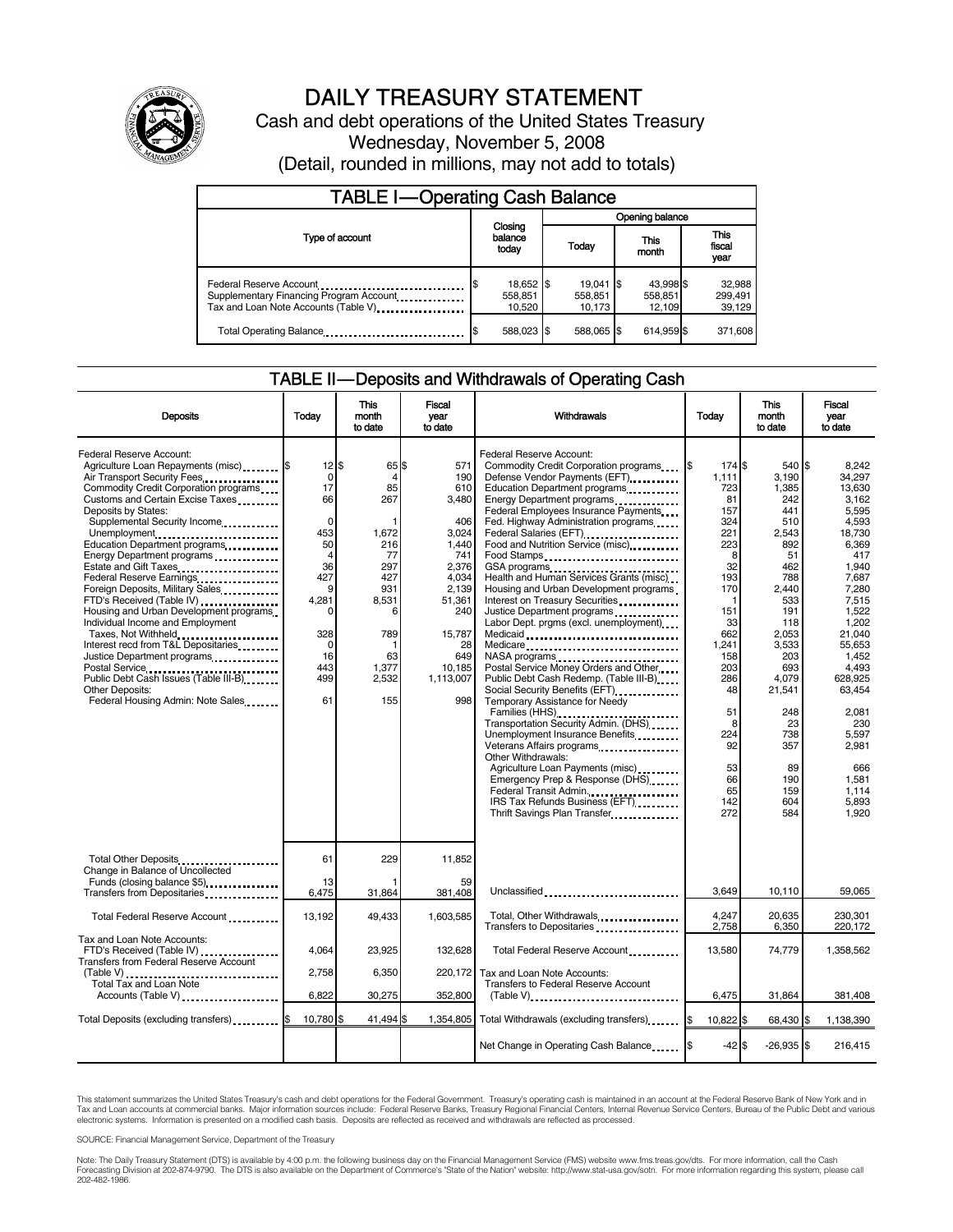

# DAILY TREASURY STATEMENT

Cash and debt operations of the United States Treasury Wednesday, November 5, 2008 (Detail, rounded in millions, may not add to totals)

| <b>TABLE I-Operating Cash Balance</b>                                                                       |                                |                                  |                                |                               |  |
|-------------------------------------------------------------------------------------------------------------|--------------------------------|----------------------------------|--------------------------------|-------------------------------|--|
|                                                                                                             |                                | Opening balance                  |                                |                               |  |
| Type of account                                                                                             | Closing<br>balance<br>todav    | Today                            | This<br>month                  | <b>This</b><br>fiscal<br>year |  |
| Federal Reserve Account<br>Supplementary Financing Program Account<br>Tax and Loan Note Accounts (Table V). | 18,652 \$<br>558,851<br>10.520 | $19,041$ \$<br>558,851<br>10.173 | 43.998 \$<br>558,851<br>12,109 | 32,988<br>299,491<br>39,129   |  |
| Total Operating Balance                                                                                     | 588,023 \$                     | 588.065 \$                       | 614.959 \$                     | 371,608                       |  |

#### TABLE II — Deposits and Withdrawals of Operating Cash

| <b>Deposits</b>                                                                                                                                                                                                                                                                                                                                                                                                                                                                                                                                                                                                                                                                                                              | Todav                                                                                                                                                                    | This<br>month<br>to date                                                                                                            | Fiscal<br>vear<br>to date                                                                                                                                   | Withdrawals                                                                                                                                                                                                                                                                                                                                                                                                                                                                                                                                                                                                                                                                                                                                                                                                                                                                                                                                                                                          | Today                                                                                                                                                                                             | This<br>month<br>to date                                                                                                                                                                                                        | Fiscal<br>vear<br>to date                                                                                                                                                                                                                                                    |
|------------------------------------------------------------------------------------------------------------------------------------------------------------------------------------------------------------------------------------------------------------------------------------------------------------------------------------------------------------------------------------------------------------------------------------------------------------------------------------------------------------------------------------------------------------------------------------------------------------------------------------------------------------------------------------------------------------------------------|--------------------------------------------------------------------------------------------------------------------------------------------------------------------------|-------------------------------------------------------------------------------------------------------------------------------------|-------------------------------------------------------------------------------------------------------------------------------------------------------------|------------------------------------------------------------------------------------------------------------------------------------------------------------------------------------------------------------------------------------------------------------------------------------------------------------------------------------------------------------------------------------------------------------------------------------------------------------------------------------------------------------------------------------------------------------------------------------------------------------------------------------------------------------------------------------------------------------------------------------------------------------------------------------------------------------------------------------------------------------------------------------------------------------------------------------------------------------------------------------------------------|---------------------------------------------------------------------------------------------------------------------------------------------------------------------------------------------------|---------------------------------------------------------------------------------------------------------------------------------------------------------------------------------------------------------------------------------|------------------------------------------------------------------------------------------------------------------------------------------------------------------------------------------------------------------------------------------------------------------------------|
| Federal Reserve Account:<br>Agriculture Loan Repayments (misc) \$<br>Air Transport Security Fees<br>Commodity Credit Corporation programs<br>Customs and Certain Excise Taxes<br>Deposits by States:<br>Supplemental Security Income<br>Unemployment<br>Education Department programs<br>Energy Department programs<br>Estate and Gift Taxes<br>Federal Reserve Earnings<br>Foreign Deposits, Military Sales<br>FTD's Received (Table IV)<br>Housing and Urban Development programs<br>Individual Income and Employment<br>Taxes, Not Withheld<br>Interest recd from T&L Depositaries<br>Justice Department programs<br>Public Debt Cash Issues (Table III-B)<br><b>Other Deposits:</b><br>Federal Housing Admin: Note Sales | $12$ $\frac{1}{3}$<br>$\mathbf 0$<br>17<br>66<br>$\mathbf 0$<br>453<br>50<br>$\overline{4}$<br>36<br>427<br>9<br>4,281<br>O<br>328<br>$\Omega$<br>16<br>443<br>499<br>61 | 65 \$<br>$\overline{4}$<br>85<br>267<br>1,672<br>216<br>77<br>297<br>427<br>931<br>8,531<br>6<br>789<br>63<br>1,377<br>2,532<br>155 | 571<br>190<br>610<br>3,480<br>406<br>3,024<br>1,440<br>741<br>2,376<br>4,034<br>2.139<br>51,361<br>240<br>15,787<br>28<br>649<br>10,185<br>1,113,007<br>998 | Federal Reserve Account:<br>Commodity Credit Corporation programs<br>Defense Vendor Payments (EFT)<br>Education Department programs<br>Energy Department programs<br>Federal Employees Insurance Payments<br>Fed. Highway Administration programs<br>Federal Salaries (EFT)<br>Food and Nutrition Service (misc)<br>Food Stamps<br>GSA programs<br>Health and Human Services Grants (misc)<br>Housing and Urban Development programs<br>Interest on Treasury Securities<br>Justice Department programs<br>Labor Dept. prgms (excl. unemployment)<br>Medicaid<br>Medicare<br>NASA programs<br>Postal Service Money Orders and Other<br>Public Debt Cash Redemp. (Table III-B)<br>Temporary Assistance for Needy<br>Families (HHS)<br>Transportation Security Admin. (DHS)<br>Unemployment Insurance Benefits<br>Other Withdrawals:<br>Agriculture Loan Payments (misc)<br>Emergency Prep & Response (DHS)<br>Federal Transit Admin.<br>IRS Tax Refunds Business (EFT)<br>Thrift Savings Plan Transfer | 174 \$<br>1,111<br>723<br>81<br>157<br>324<br>221<br>223<br>8<br>32<br>193<br>170<br>151<br>33<br>662<br>1,241<br>158<br>203<br>286<br>48<br>51<br>8<br>224<br>92<br>53<br>66<br>65<br>142<br>272 | 540 \$<br>3.190<br>1,385<br>242<br>441<br>510<br>2,543<br>892<br>51<br>462<br>788<br>2,440<br>533<br>191<br>118<br>2,053<br>3,533<br>203<br>693<br>4,079<br>21,541<br>248<br>23<br>738<br>357<br>89<br>190<br>159<br>604<br>584 | 8.242<br>34.297<br>13,630<br>3.162<br>5.595<br>4,593<br>18,730<br>6,369<br>417<br>1,940<br>7,687<br>7.280<br>7,515<br>1,522<br>1.202<br>21.040<br>55,653<br>1,452<br>4.493<br>628,925<br>63,454<br>2.081<br>230<br>5,597<br>2.981<br>666<br>1.581<br>1.114<br>5,893<br>1.920 |
| Total Other Deposits<br>Change in Balance of Uncollected<br>Funds (closing balance \$5)                                                                                                                                                                                                                                                                                                                                                                                                                                                                                                                                                                                                                                      | 61<br>13                                                                                                                                                                 | 229                                                                                                                                 | 11,852<br>59                                                                                                                                                |                                                                                                                                                                                                                                                                                                                                                                                                                                                                                                                                                                                                                                                                                                                                                                                                                                                                                                                                                                                                      |                                                                                                                                                                                                   |                                                                                                                                                                                                                                 |                                                                                                                                                                                                                                                                              |
| Transfers from Depositaries                                                                                                                                                                                                                                                                                                                                                                                                                                                                                                                                                                                                                                                                                                  | 6,475                                                                                                                                                                    | 31,864                                                                                                                              | 381,408                                                                                                                                                     | Unclassified                                                                                                                                                                                                                                                                                                                                                                                                                                                                                                                                                                                                                                                                                                                                                                                                                                                                                                                                                                                         | 3.649                                                                                                                                                                                             | 10,110                                                                                                                                                                                                                          | 59,065                                                                                                                                                                                                                                                                       |
| Total Federal Reserve Account                                                                                                                                                                                                                                                                                                                                                                                                                                                                                                                                                                                                                                                                                                | 13.192                                                                                                                                                                   | 49.433                                                                                                                              | 1.603.585                                                                                                                                                   | Total, Other Withdrawals                                                                                                                                                                                                                                                                                                                                                                                                                                                                                                                                                                                                                                                                                                                                                                                                                                                                                                                                                                             | 4.247<br>2,758                                                                                                                                                                                    | 20,635<br>6,350                                                                                                                                                                                                                 | 230.301<br>220,172                                                                                                                                                                                                                                                           |
| Tax and Loan Note Accounts:<br>FTD's Received (Table IV)<br><b>Transfers from Federal Reserve Account</b>                                                                                                                                                                                                                                                                                                                                                                                                                                                                                                                                                                                                                    | 4.064                                                                                                                                                                    | 23.925                                                                                                                              | 132.628                                                                                                                                                     | Total Federal Reserve Account                                                                                                                                                                                                                                                                                                                                                                                                                                                                                                                                                                                                                                                                                                                                                                                                                                                                                                                                                                        | 13.580                                                                                                                                                                                            | 74.779                                                                                                                                                                                                                          | 1.358.562                                                                                                                                                                                                                                                                    |
| $(Table V)$<br><br>Total Tax and Loan Note                                                                                                                                                                                                                                                                                                                                                                                                                                                                                                                                                                                                                                                                                   | 2,758                                                                                                                                                                    | 6,350                                                                                                                               | 220,172                                                                                                                                                     | Tax and Loan Note Accounts:<br><b>Transfers to Federal Reserve Account</b>                                                                                                                                                                                                                                                                                                                                                                                                                                                                                                                                                                                                                                                                                                                                                                                                                                                                                                                           |                                                                                                                                                                                                   |                                                                                                                                                                                                                                 |                                                                                                                                                                                                                                                                              |
| Accounts (Table V)                                                                                                                                                                                                                                                                                                                                                                                                                                                                                                                                                                                                                                                                                                           | 6.822                                                                                                                                                                    | 30,275                                                                                                                              | 352,800                                                                                                                                                     | $(Table V)$                                                                                                                                                                                                                                                                                                                                                                                                                                                                                                                                                                                                                                                                                                                                                                                                                                                                                                                                                                                          | 6,475                                                                                                                                                                                             | 31,864                                                                                                                                                                                                                          | 381.408                                                                                                                                                                                                                                                                      |
| Total Deposits (excluding transfers)                                                                                                                                                                                                                                                                                                                                                                                                                                                                                                                                                                                                                                                                                         | 10,780 \$                                                                                                                                                                | 41,494 \$                                                                                                                           | 1,354,805                                                                                                                                                   | Total Withdrawals (excluding transfers)                                                                                                                                                                                                                                                                                                                                                                                                                                                                                                                                                                                                                                                                                                                                                                                                                                                                                                                                                              | 10,822 \$                                                                                                                                                                                         | 68,430 \$                                                                                                                                                                                                                       | 1,138,390                                                                                                                                                                                                                                                                    |
|                                                                                                                                                                                                                                                                                                                                                                                                                                                                                                                                                                                                                                                                                                                              |                                                                                                                                                                          |                                                                                                                                     |                                                                                                                                                             | Net Change in Operating Cash Balance                                                                                                                                                                                                                                                                                                                                                                                                                                                                                                                                                                                                                                                                                                                                                                                                                                                                                                                                                                 | $-42S$                                                                                                                                                                                            | $-26,935$ \$                                                                                                                                                                                                                    | 216,415                                                                                                                                                                                                                                                                      |

This statement summarizes the United States Treasury's cash and debt operations for the Federal Government. Treasury's operating cash is maintained in an account at the Federal Reserve Bank of New York and in<br>Tax and Loan

SOURCE: Financial Management Service, Department of the Treasury

Note: The Daily Treasury Statement (DTS) is available by 4:00 p.m. the following business day on the Financial Management Service (FMS) website www.fms.treas.gov/dts. For more information, call the Cash<br>Forecasting Divisio eas.gov/dts. F<br>For more infor